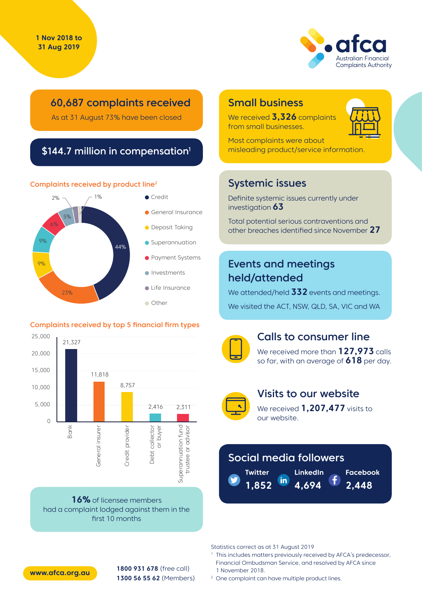

## 60,687 complaints received

As at 31 August 73% have been closed

## \$144.7 million in compensation<sup>1</sup>

#### Complaints received by product line2



#### Complaints received by top 5 financial firm types



**16%** of licensee members had a complaint lodged against them in the first 10 months

## Small business

We received **3,326** complaints from small businesses.



Most complaints were about misleading product/service information.

## Systemic issues

Definite systemic issues currently under investigation **63**

Total potential serious contraventions and other breaches identified since November **27**

## Events and meetings held/attended

We attended/held **332** events and meetings. We visited the ACT, NSW, QLD, SA, VIC and WA



### Calls to consumer line

We received more than **127,973** calls so far, with an average of **618** per day.



### Visits to our website

We received **1,207,477** visits to our website.

# Social media followers

**Twitter** in **1,852 4,694**

**LinkedIn Facebook**

**2,448**

Statistics correct as at 31 August 2019

<sup>1</sup> This includes matters previously received by AFCA's predecessor, Financial Ombudsman Service, and resolved by AFCA since 1 November 2018.

**1800 931 678** (free call) **1300 56 55 62** (Members) **www.afca.org.au**

<sup>2</sup> One complaint can have multiple product lines.